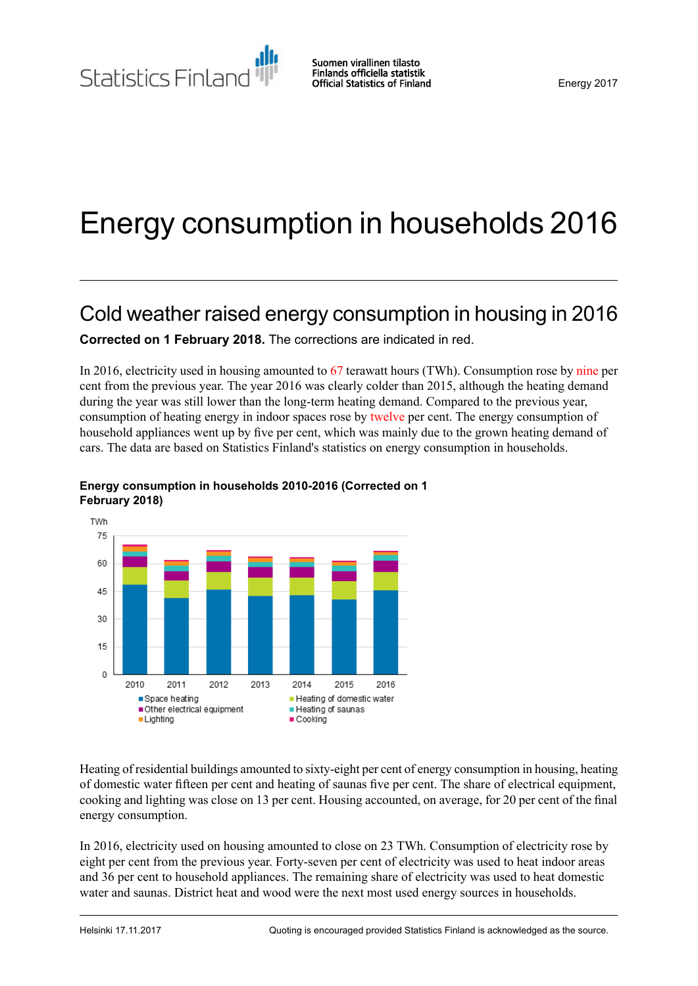Statistics Finland

# Energy consumption in households 2016

# Cold weather raised energy consumption in housing in 2016

**Corrected on 1 February 2018.** The corrections are indicated in red.

In 2016, electricity used in housing amounted to 67 terawatt hours (TWh). Consumption rose by nine per cent from the previous year. The year 2016 was clearly colder than 2015, although the heating demand during the year was still lower than the long-term heating demand. Compared to the previous year, consumption of heating energy in indoor spaces rose by twelve per cent. The energy consumption of household appliances went up by five per cent, which was mainly due to the grown heating demand of cars. The data are based on Statistics Finland's statistics on energy consumption in households.



### **Energy consumption in households 2010-2016 (Corrected on 1 February 2018)**

Heating of residential buildings amounted to sixty-eight per cent of energy consumption in housing, heating of domestic water fifteen per cent and heating of saunas five per cent. The share of electrical equipment, cooking and lighting was close on 13 per cent. Housing accounted, on average, for 20 per cent of the final energy consumption.

In 2016, electricity used on housing amounted to close on 23 TWh. Consumption of electricity rose by eight per cent from the previous year. Forty-seven per cent of electricity was used to heat indoor areas and 36 per cent to household appliances. The remaining share of electricity was used to heat domestic water and saunas. District heat and wood were the next most used energy sources in households.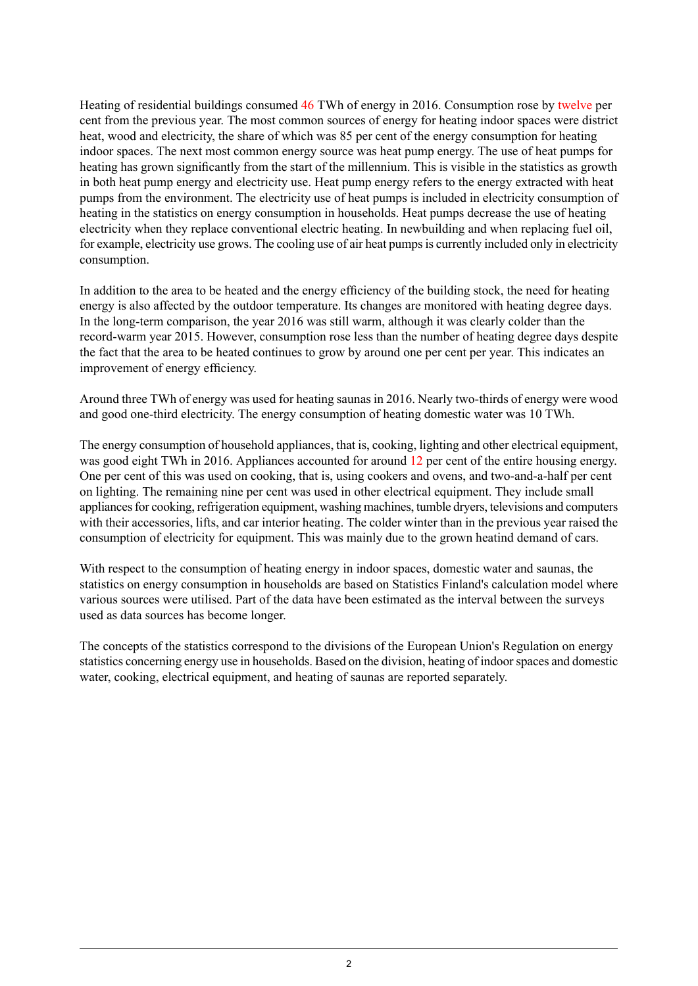Heating of residential buildings consumed 46 TWh of energy in 2016. Consumption rose by twelve per cent from the previous year. The most common sources of energy for heating indoor spaces were district heat, wood and electricity, the share of which was 85 per cent of the energy consumption for heating indoor spaces. The next most common energy source was heat pump energy. The use of heat pumps for heating has grown significantly from the start of the millennium. This is visible in the statistics as growth in both heat pump energy and electricity use. Heat pump energy refers to the energy extracted with heat pumps from the environment. The electricity use of heat pumps is included in electricity consumption of heating in the statistics on energy consumption in households. Heat pumps decrease the use of heating electricity when they replace conventional electric heating. In newbuilding and when replacing fuel oil, for example, electricity use grows. The cooling use of air heat pumps is currently included only in electricity consumption.

In addition to the area to be heated and the energy efficiency of the building stock, the need for heating energy is also affected by the outdoor temperature. Its changes are monitored with heating degree days. In the long-term comparison, the year 2016 was still warm, although it was clearly colder than the record-warm year 2015. However, consumption rose less than the number of heating degree days despite the fact that the area to be heated continues to grow by around one per cent per year. This indicates an improvement of energy efficiency.

Around three TWh of energy was used for heating saunas in 2016. Nearly two-thirds of energy were wood and good one-third electricity. The energy consumption of heating domestic water was 10 TWh.

The energy consumption of household appliances, that is, cooking, lighting and other electrical equipment, was good eight TWh in 2016. Appliances accounted for around 12 per cent of the entire housing energy. One per cent of this was used on cooking, that is, using cookers and ovens, and two-and-a-half per cent on lighting. The remaining nine per cent was used in other electrical equipment. They include small appliances for cooking, refrigeration equipment, washing machines, tumble dryers, televisions and computers with their accessories, lifts, and car interior heating. The colder winter than in the previous year raised the consumption of electricity for equipment. This was mainly due to the grown heatind demand of cars.

With respect to the consumption of heating energy in indoor spaces, domestic water and saunas, the statistics on energy consumption in households are based on Statistics Finland's calculation model where various sources were utilised. Part of the data have been estimated as the interval between the surveys used as data sources has become longer.

The concepts of the statistics correspond to the divisions of the European Union's Regulation on energy statistics concerning energy use in households. Based on the division, heating of indoorspaces and domestic water, cooking, electrical equipment, and heating of saunas are reported separately.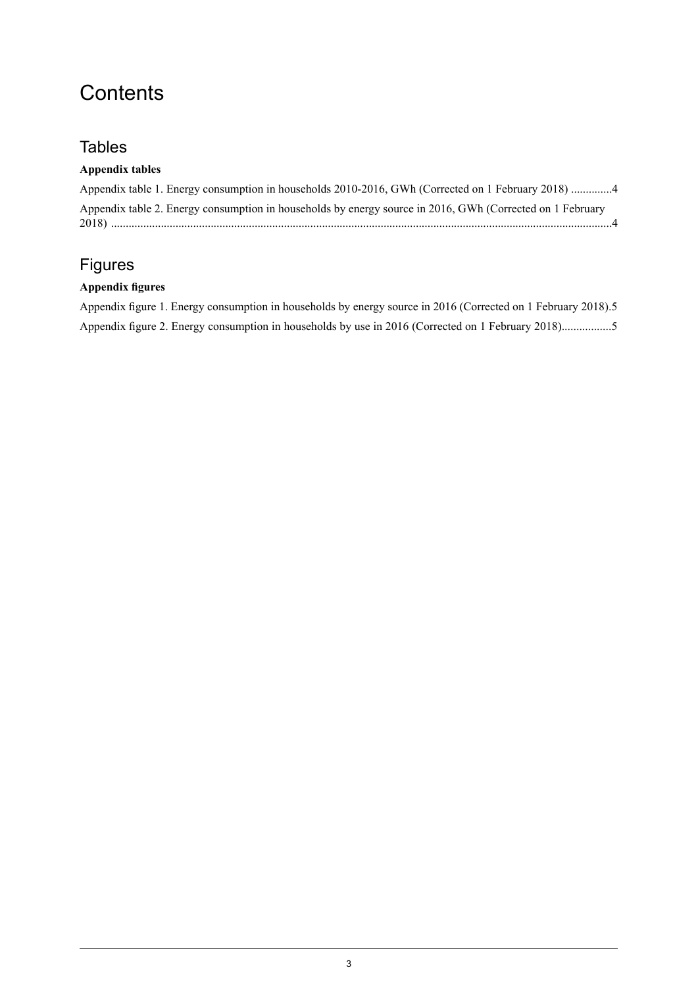# **Contents**

### **Tables**

### **Appendix tables**

| Appendix table 1. Energy consumption in households 2010-2016, GWh (Corrected on 1 February 2018) 4        |  |
|-----------------------------------------------------------------------------------------------------------|--|
| Appendix table 2. Energy consumption in households by energy source in 2016, GWh (Corrected on 1 February |  |

## Figures

### **Appendix figures**

| Appendix figure 1. Energy consumption in households by energy source in 2016 (Corrected on 1 February 2018).5 |  |  |  |  |
|---------------------------------------------------------------------------------------------------------------|--|--|--|--|
| Appendix figure 2. Energy consumption in households by use in 2016 (Corrected on 1 February 2018)5            |  |  |  |  |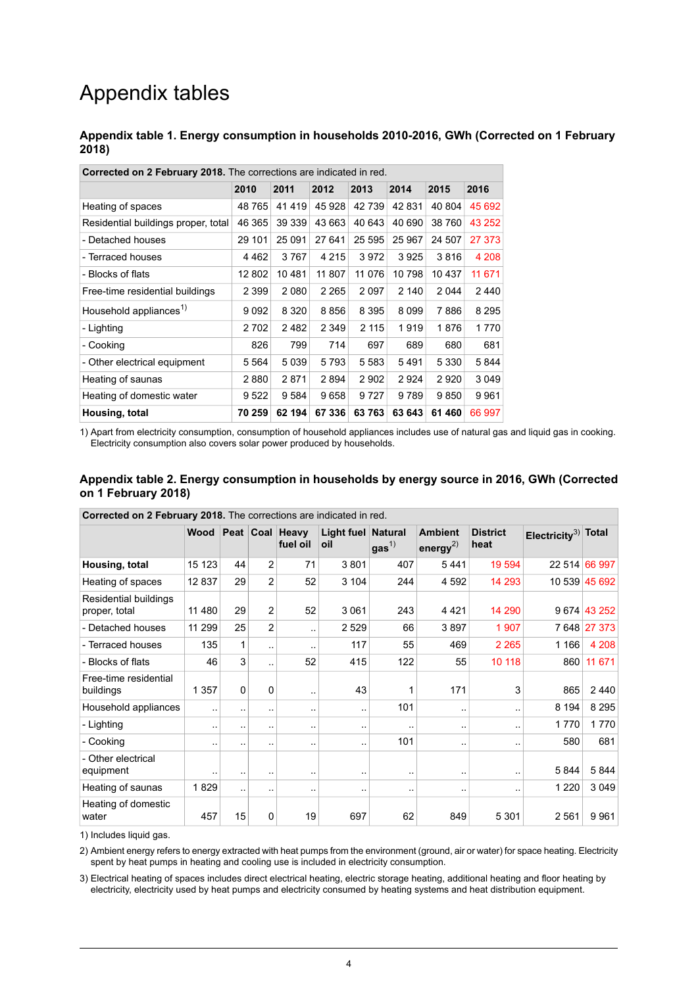# Appendix tables

#### <span id="page-3-0"></span>**Appendix table 1. Energy consumption in households 2010-2016, GWh (Corrected on 1 February 2018)**

| <b>Corrected on 2 February 2018.</b> The corrections are indicated in red. |         |         |         |         |        |         |         |  |
|----------------------------------------------------------------------------|---------|---------|---------|---------|--------|---------|---------|--|
|                                                                            | 2010    | 2011    | 2012    | 2013    | 2014   | 2015    | 2016    |  |
| Heating of spaces                                                          | 48765   | 41419   | 45 928  | 42 739  | 42831  | 40 804  | 45 692  |  |
| Residential buildings proper, total                                        | 46 365  | 39 339  | 43 663  | 40 643  | 40 690 | 38 760  | 43 252  |  |
| - Detached houses                                                          | 29 101  | 25 091  | 27 641  | 25 595  | 25 967 | 24 507  | 27 373  |  |
| - Terraced houses                                                          | 4462    | 3767    | 4 2 1 5 | 3972    | 3925   | 3816    | 4 208   |  |
| - Blocks of flats                                                          | 12 802  | 10481   | 11 807  | 11 076  | 10798  | 10 437  | 11 671  |  |
| Free-time residential buildings                                            | 2 3 9 9 | 2 0 8 0 | 2 2 6 5 | 2097    | 2 140  | 2 0 4 4 | 2440    |  |
| Household appliances <sup>1)</sup>                                         | 9092    | 8 3 2 0 | 8856    | 8 3 9 5 | 8099   | 7886    | 8 2 9 5 |  |
| - Lighting                                                                 | 2702    | 2482    | 2 3 4 9 | 2 1 1 5 | 1919   | 1876    | 1770    |  |
| - Cooking                                                                  | 826     | 799     | 714     | 697     | 689    | 680     | 681     |  |
| - Other electrical equipment                                               | 5 564   | 5 0 3 9 | 5793    | 5 5 8 3 | 5491   | 5 3 3 0 | 5844    |  |
| Heating of saunas                                                          | 2880    | 2871    | 2894    | 2 9 0 2 | 2924   | 2920    | 3 0 4 9 |  |
| Heating of domestic water                                                  | 9 522   | 9 5 8 4 | 9658    | 9727    | 9789   | 9850    | 9961    |  |
| Housing, total                                                             | 70 259  | 62 194  | 67 336  | 63763   | 63 643 | 61 460  | 66 997  |  |

**Corrected on 2 February 2018.** The corrections are indicated in red.

<span id="page-3-1"></span>1) Apart from electricity consumption, consumption of household appliances includes use of natural gas and liquid gas in cooking. Electricity consumption also covers solar power produced by households.

#### **Appendix table 2. Energy consumption in households by energy source in 2016, GWh (Corrected on 1 February 2018)**

| Corrected on 2 February 2018. The corrections are indicated in red. |                        |                        |                |                             |                   |                                    |                                  |                         |                                 |               |
|---------------------------------------------------------------------|------------------------|------------------------|----------------|-----------------------------|-------------------|------------------------------------|----------------------------------|-------------------------|---------------------------------|---------------|
|                                                                     | <b>Wood</b>            |                        |                | Peat Coal Heavy<br>fuel oil | Light fuel<br>oil | <b>Natural</b><br>gas <sup>1</sup> | <b>Ambient</b><br>energy $^{2)}$ | <b>District</b><br>heat | Electricity <sup>3)</sup> Total |               |
| Housing, total                                                      | 15 123                 | 44                     | 2              | 71                          | 3801              | 407                                | 5441                             | 19 5 94                 |                                 | 22 514 66 997 |
| Heating of spaces                                                   | 12837                  | 29                     | 2              | 52                          | 3 104             | 244                                | 4592                             | 14 293                  |                                 | 10 539 45 692 |
| Residential buildings<br>proper, total                              | 11 480                 | 29                     | 2              | 52                          | 3 0 6 1           | 243                                | 4421                             | 14 290                  |                                 | 9 674 43 252  |
| - Detached houses                                                   | 11 299                 | 25                     | $\overline{2}$ |                             | 2529              | 66                                 | 3897                             | 1 907                   |                                 | 7 648 27 373  |
| - Terraced houses                                                   | 135                    | 1                      | $\ddotsc$      | ٠.                          | 117               | 55                                 | 469                              | 2 2 6 5                 | 1 1 6 6                         | 4 2 0 8       |
| - Blocks of flats                                                   | 46                     | 3                      | $\ddotsc$      | 52                          | 415               | 122                                | 55                               | 10 118                  | 860                             | 11 671        |
| Free-time residential<br>buildings                                  | 1 3 5 7                | 0                      | 0              |                             | 43                |                                    | 171                              | 3                       | 865                             | 2440          |
| Household appliances                                                | $\ddotsc$              |                        | $\ddotsc$      |                             |                   | 101                                | $\ddotsc$                        | $\ddotsc$               | 8 1 9 4                         | 8 2 9 5       |
| - Lighting                                                          | $\sim$                 |                        | $\ddotsc$      | ٠.                          | ٠.                |                                    | $\ddotsc$                        | $\ddotsc$               | 1770                            | 1770          |
| - Cooking                                                           | $\ddot{\phantom{1}}$ . | $\ddot{\phantom{1}}$ . | $\cdot$ .      | ٠.                          |                   | 101                                | $\ddotsc$                        | $\ddot{\phantom{1}}$    | 580                             | 681           |
| - Other electrical<br>equipment                                     | $\ddotsc$              | $\sim$                 |                | ٠.                          |                   |                                    |                                  | $\ddotsc$               | 5844                            | 5844          |
| Heating of saunas                                                   | 1829                   |                        | $\cdot$ .      |                             | . .               | $\ddotsc$                          |                                  | ٠.                      | 1 2 2 0                         | 3 0 4 9       |
| Heating of domestic<br>water                                        | 457                    | 15                     | 0              | 19                          | 697               | 62                                 | 849                              | 5 3 0 1                 | 2561                            | 9961          |

1) Includes liquid gas.

2) Ambient energy refers to energy extracted with heat pumps from the environment (ground, air or water) for space heating. Electricity spent by heat pumps in heating and cooling use is included in electricity consumption.

Electrical heating of spaces includes direct electrical heating, electric storage heating, additional heating and floor heating by 3) electricity, electricity used by heat pumps and electricity consumed by heating systems and heat distribution equipment.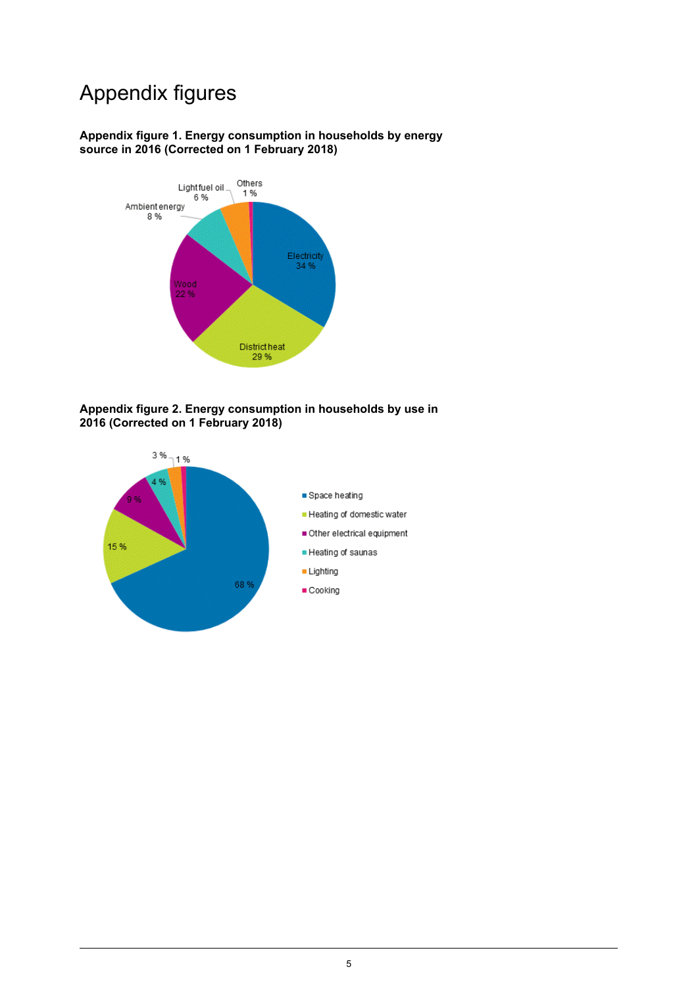# Appendix figures

### <span id="page-4-0"></span>**Appendix figure 1. Energy consumption in households by energy source in 2016 (Corrected on 1 February 2018)**



#### <span id="page-4-1"></span>**Appendix figure 2. Energy consumption in households by use in 2016 (Corrected on 1 February 2018)**